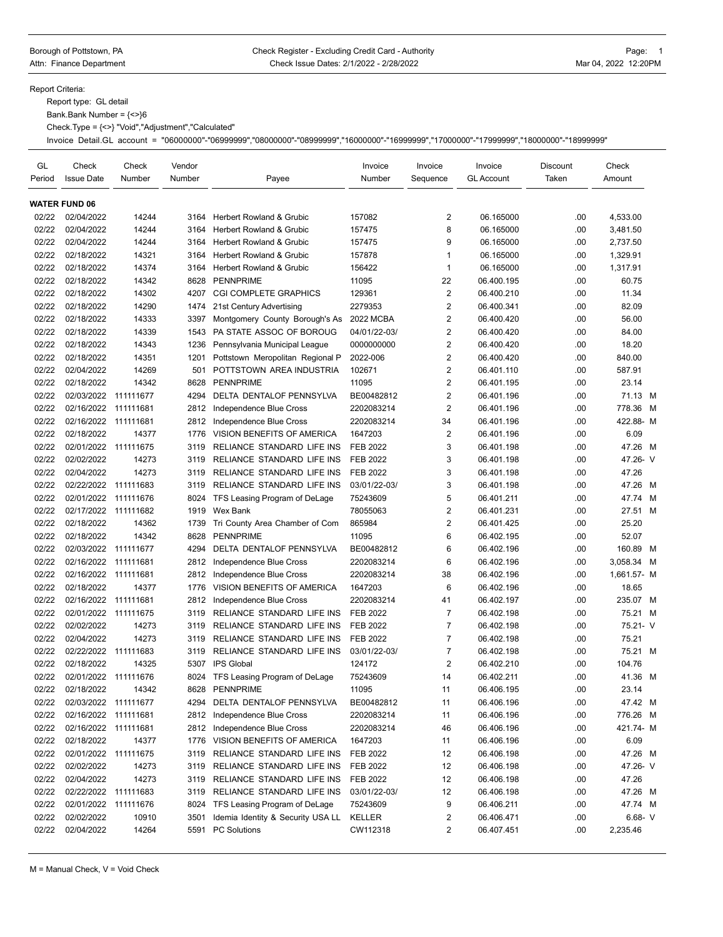## Borough of Pottstown, PA **Check Register - Excluding Credit Card** - Authority **Page: 1** Page: 1 Attn: Finance Department **Check Issue Dates: 2/1/2022 - 2/28/2022** Mar 04, 2022 12:20PM

Report Criteria:

Report type: GL detail

Bank.Bank Number = {<>}6

Check.Type = {<>} "Void","Adjustment","Calculated"

Invoice Detail.GL account = "06000000"-"06999999","08000000"-"08999999","16000000"-"16999999","17000000"-"17999999","18000000"-"18999999"

| GL<br>Period | Check<br><b>Issue Date</b> | Check<br>Number | Vendor<br>Number | Payee                             | Invoice<br>Number | Invoice<br>Sequence     | Invoice<br><b>GL Account</b> | Discount<br>Taken | Check<br>Amount |
|--------------|----------------------------|-----------------|------------------|-----------------------------------|-------------------|-------------------------|------------------------------|-------------------|-----------------|
|              | <b>WATER FUND 06</b>       |                 |                  |                                   |                   |                         |                              |                   |                 |
| 02/22        | 02/04/2022                 | 14244           | 3164             | Herbert Rowland & Grubic          | 157082            | 2                       | 06.165000                    | .00               | 4,533.00        |
| 02/22        | 02/04/2022                 | 14244           | 3164             | Herbert Rowland & Grubic          | 157475            | 8                       | 06.165000                    | .00               | 3,481.50        |
| 02/22        | 02/04/2022                 | 14244           | 3164             | Herbert Rowland & Grubic          | 157475            | 9                       | 06.165000                    | .00               | 2.737.50        |
| 02/22        | 02/18/2022                 | 14321           | 3164             | Herbert Rowland & Grubic          | 157878            | $\mathbf{1}$            | 06.165000                    | .00               | 1,329.91        |
| 02/22        | 02/18/2022                 | 14374           | 3164             | Herbert Rowland & Grubic          | 156422            | $\mathbf{1}$            | 06.165000                    | .00               | 1,317.91        |
| 02/22        | 02/18/2022                 | 14342           | 8628             | <b>PENNPRIME</b>                  | 11095             | 22                      | 06.400.195                   | .00               | 60.75           |
| 02/22        | 02/18/2022                 | 14302           | 4207             | <b>CGI COMPLETE GRAPHICS</b>      | 129361            | $\overline{2}$          | 06.400.210                   | .00               | 11.34           |
| 02/22        | 02/18/2022                 | 14290           | 1474             | 21st Century Advertising          | 2279353           | $\overline{2}$          | 06.400.341                   | .00               | 82.09           |
| 02/22        | 02/18/2022                 | 14333           | 3397             | Montgomery County Borough's As    | 2022 MCBA         | $\overline{\mathbf{c}}$ | 06.400.420                   | .00               | 56.00           |
| 02/22        | 02/18/2022                 | 14339           | 1543             | PA STATE ASSOC OF BOROUG          | 04/01/22-03/      | $\overline{\mathbf{c}}$ | 06.400.420                   | .00               | 84.00           |
| 02/22        | 02/18/2022                 | 14343           | 1236             | Pennsylvania Municipal League     | 0000000000        | $\overline{2}$          | 06.400.420                   | .00               | 18.20           |
| 02/22        | 02/18/2022                 | 14351           | 1201             | Pottstown Meropolitan Regional P  | 2022-006          | $\overline{2}$          | 06.400.420                   | .00               | 840.00          |
| 02/22        | 02/04/2022                 | 14269           | 501              | POTTSTOWN AREA INDUSTRIA          | 102671            | $\overline{2}$          | 06.401.110                   | .00               | 587.91          |
| 02/22        | 02/18/2022                 | 14342           | 8628             | <b>PENNPRIME</b>                  | 11095             | $\overline{2}$          | 06.401.195                   | .00               | 23.14           |
| 02/22        | 02/03/2022                 | 111111677       | 4294             | DELTA DENTALOF PENNSYLVA          | BE00482812        | $\sqrt{2}$              | 06.401.196                   | .00               | 71.13 M         |
| 02/22        | 02/16/2022                 | 111111681       | 2812             | Independence Blue Cross           | 2202083214        | $\overline{2}$          | 06.401.196                   | .00               | 778.36<br>M     |
| 02/22        | 02/16/2022                 | 111111681       | 2812             | Independence Blue Cross           | 2202083214        | 34                      | 06.401.196                   | .00               | 422.88-M        |
| 02/22        | 02/18/2022                 | 14377           | 1776             | <b>VISION BENEFITS OF AMERICA</b> | 1647203           | $\overline{2}$          | 06.401.196                   | .00               | 6.09            |
| 02/22        | 02/01/2022                 | 111111675       | 3119             | RELIANCE STANDARD LIFE INS        | <b>FEB 2022</b>   | 3                       | 06.401.198                   | .00               | 47.26 M         |
| 02/22        | 02/02/2022                 | 14273           | 3119             | RELIANCE STANDARD LIFE INS        | <b>FEB 2022</b>   | 3                       | 06.401.198                   | .00               | 47.26- V        |
| 02/22        | 02/04/2022                 | 14273           | 3119             | RELIANCE STANDARD LIFE INS        | FEB 2022          | 3                       | 06.401.198                   | .00               | 47.26           |
| 02/22        | 02/22/2022                 | 111111683       | 3119             | RELIANCE STANDARD LIFE INS        | 03/01/22-03/      | 3                       | 06.401.198                   | .00               | 47.26 M         |
| 02/22        | 02/01/2022                 | 111111676       | 8024             | TFS Leasing Program of DeLage     | 75243609          | 5                       | 06.401.211                   | .00               | 47.74 M         |
| 02/22        | 02/17/2022                 | 111111682       | 1919             | Wex Bank                          | 78055063          | $\overline{\mathbf{c}}$ | 06.401.231                   | .00               | 27.51 M         |
| 02/22        | 02/18/2022                 | 14362           | 1739             | Tri County Area Chamber of Com    | 865984            | $\sqrt{2}$              | 06.401.425                   | .00               | 25.20           |
| 02/22        | 02/18/2022                 | 14342           | 8628             | <b>PENNPRIME</b>                  | 11095             | 6                       | 06.402.195                   | .00               | 52.07           |
| 02/22        | 02/03/2022                 | 111111677       | 4294             | DELTA DENTALOF PENNSYLVA          | BE00482812        | 6                       | 06.402.196                   | .00               | 160.89 M        |
| 02/22        | 02/16/2022                 | 111111681       | 2812             | Independence Blue Cross           | 2202083214        | 6                       | 06.402.196                   | .00               | 3,058.34 M      |
| 02/22        | 02/16/2022                 | 111111681       | 2812             | Independence Blue Cross           | 2202083214        | 38                      | 06.402.196                   | .00               | 1,661.57- M     |
| 02/22        | 02/18/2022                 | 14377           | 1776             | VISION BENEFITS OF AMERICA        | 1647203           | 6                       | 06.402.196                   | .00               | 18.65           |
| 02/22        | 02/16/2022                 | 111111681       | 2812             | Independence Blue Cross           | 2202083214        | 41                      | 06.402.197                   | .00               | 235.07 M        |
| 02/22        | 02/01/2022                 | 111111675       | 3119             | RELIANCE STANDARD LIFE INS        | <b>FEB 2022</b>   | 7                       | 06.402.198                   | .00               | 75.21 M         |
| 02/22        | 02/02/2022                 | 14273           | 3119             | RELIANCE STANDARD LIFE INS        | <b>FEB 2022</b>   | $\overline{7}$          | 06.402.198                   | .00               | 75.21- V        |
| 02/22        | 02/04/2022                 | 14273           | 3119             | RELIANCE STANDARD LIFE INS        | <b>FEB 2022</b>   | $\overline{7}$          | 06.402.198                   | .00               | 75.21           |
| 02/22        | 02/22/2022                 | 111111683       | 3119             | RELIANCE STANDARD LIFE INS        | 03/01/22-03/      | 7                       | 06.402.198                   | .00               | 75.21 M         |
| 02/22        | 02/18/2022                 | 14325           | 5307             | <b>IPS Global</b>                 | 124172            | $\overline{2}$          | 06.402.210                   | .00               | 104.76          |
| 02/22        | 02/01/2022 111111676       |                 | 8024             | TFS Leasing Program of DeLage     | 75243609          | 14                      | 06.402.211                   | .00               | 41.36 M         |
| 02/22        | 02/18/2022                 | 14342           |                  | 8628 PENNPRIME                    | 11095             | 11                      | 06.406.195                   | .00               | 23.14           |
| 02/22        | 02/03/2022 111111677       |                 | 4294             | DELTA DENTALOF PENNSYLVA          | BE00482812        | 11                      | 06.406.196                   | .00               | 47.42 M         |
| 02/22        | 02/16/2022 111111681       |                 | 2812             | Independence Blue Cross           | 2202083214        | 11                      | 06.406.196                   | .00               | 776.26 M        |
| 02/22        | 02/16/2022 111111681       |                 |                  | 2812 Independence Blue Cross      | 2202083214        | 46                      | 06.406.196                   | .00               | 421.74- M       |
| 02/22        | 02/18/2022                 | 14377           | 1776             | VISION BENEFITS OF AMERICA        | 1647203           | 11                      | 06.406.196                   | .00               | 6.09            |
| 02/22        | 02/01/2022 111111675       |                 | 3119             | RELIANCE STANDARD LIFE INS        | FEB 2022          | 12                      | 06.406.198                   | .00               | 47.26 M         |
| 02/22        | 02/02/2022                 | 14273           | 3119             | RELIANCE STANDARD LIFE INS        | FEB 2022          | 12                      | 06.406.198                   | .00               | 47.26- V        |
| 02/22        | 02/04/2022                 | 14273           | 3119             | RELIANCE STANDARD LIFE INS        | FEB 2022          | 12                      | 06.406.198                   | .00               | 47.26           |
| 02/22        | 02/22/2022 111111683       |                 | 3119             | RELIANCE STANDARD LIFE INS        | 03/01/22-03/      | 12                      | 06.406.198                   | .00               | 47.26 M         |
| 02/22        | 02/01/2022                 | 111111676       | 8024             | TFS Leasing Program of DeLage     | 75243609          | 9                       | 06.406.211                   | .00               | 47.74 M         |
| 02/22        | 02/02/2022                 | 10910           | 3501             | Idemia Identity & Security USA LL | KELLER            | $\overline{\mathbf{c}}$ | 06.406.471                   | .00               | $6.68 - V$      |
| 02/22        | 02/04/2022                 | 14264           |                  | 5591 PC Solutions                 | CW112318          | $\overline{\mathbf{c}}$ | 06.407.451                   | .00               | 2,235.46        |
|              |                            |                 |                  |                                   |                   |                         |                              |                   |                 |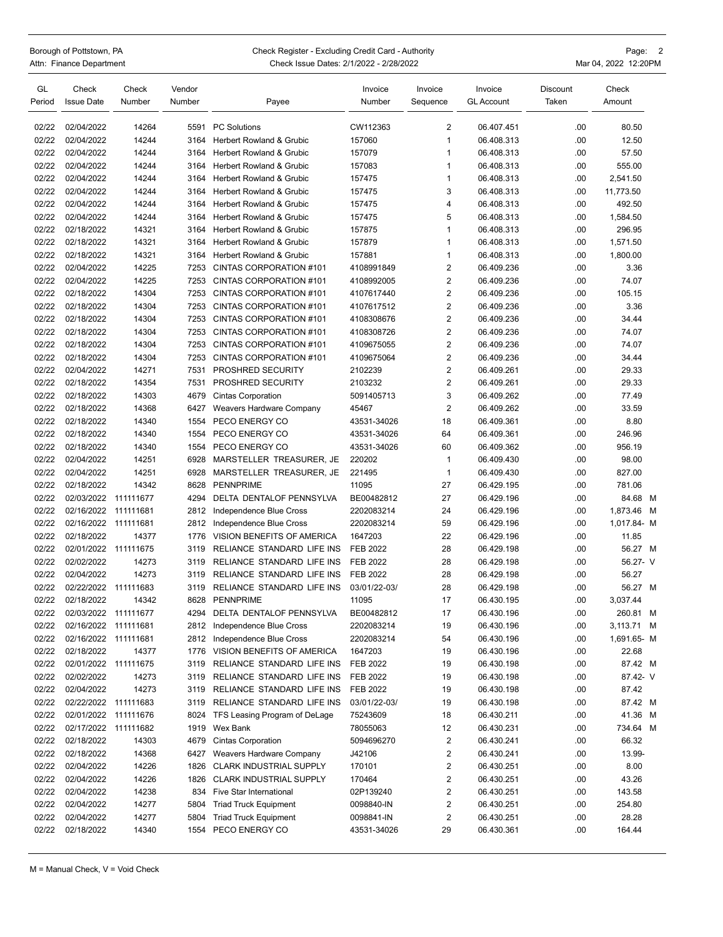| Borough of Pottstown, PA       |  |  | Check Register - Excluding Credit Card - Authority |         |         |          | Page: 2              |  |
|--------------------------------|--|--|----------------------------------------------------|---------|---------|----------|----------------------|--|
| Attn: Finance Department       |  |  | Check Issue Dates: 2/1/2022 - 2/28/2022            |         |         |          | Mar 04, 2022 12:20PM |  |
| GL<br>Vendor<br>Check<br>Check |  |  | Invoice                                            | Invoice | Invoice | Discount | Check                |  |

| ـافا   | Check                | Check     | venaor |                                     | <b>INVOICE</b>  | <b>INVOICE</b>          | <b>Invoice</b>    | <b>DISCOUNT</b> | Check       |  |
|--------|----------------------|-----------|--------|-------------------------------------|-----------------|-------------------------|-------------------|-----------------|-------------|--|
| Period | <b>Issue Date</b>    | Number    | Number | Payee                               | Number          | Sequence                | <b>GL Account</b> | Taken           | Amount      |  |
| 02/22  | 02/04/2022           | 14264     | 5591   | <b>PC Solutions</b>                 | CW112363        | 2                       | 06.407.451        | .00             | 80.50       |  |
| 02/22  | 02/04/2022           | 14244     | 3164   | Herbert Rowland & Grubic            | 157060          | 1                       | 06.408.313        | .00             | 12.50       |  |
| 02/22  | 02/04/2022           | 14244     | 3164   | Herbert Rowland & Grubic            | 157079          | 1                       | 06.408.313        | .00             | 57.50       |  |
| 02/22  | 02/04/2022           | 14244     | 3164   | <b>Herbert Rowland &amp; Grubic</b> | 157083          | 1                       | 06.408.313        | .00             | 555.00      |  |
| 02/22  | 02/04/2022           | 14244     | 3164   | Herbert Rowland & Grubic            | 157475          | 1                       | 06.408.313        | .00             | 2,541.50    |  |
| 02/22  | 02/04/2022           |           |        | Herbert Rowland & Grubic            |                 | 3                       |                   | .00             |             |  |
|        |                      | 14244     | 3164   |                                     | 157475          |                         | 06.408.313        |                 | 11,773.50   |  |
| 02/22  | 02/04/2022           | 14244     | 3164   | Herbert Rowland & Grubic            | 157475          | 4                       | 06.408.313        | .00             | 492.50      |  |
| 02/22  | 02/04/2022           | 14244     | 3164   | Herbert Rowland & Grubic            | 157475          | 5                       | 06.408.313        | .00             | 1,584.50    |  |
| 02/22  | 02/18/2022           | 14321     | 3164   | <b>Herbert Rowland &amp; Grubic</b> | 157875          | 1                       | 06.408.313        | .00             | 296.95      |  |
| 02/22  | 02/18/2022           | 14321     | 3164   | Herbert Rowland & Grubic            | 157879          | 1                       | 06.408.313        | .00             | 1,571.50    |  |
| 02/22  | 02/18/2022           | 14321     | 3164   | <b>Herbert Rowland &amp; Grubic</b> | 157881          | 1                       | 06.408.313        | .00             | 1,800.00    |  |
| 02/22  | 02/04/2022           | 14225     | 7253   | CINTAS CORPORATION #101             | 4108991849      | 2                       | 06.409.236        | .00             | 3.36        |  |
| 02/22  | 02/04/2022           | 14225     | 7253   | CINTAS CORPORATION #101             | 4108992005      | 2                       | 06.409.236        | .00             | 74.07       |  |
| 02/22  | 02/18/2022           | 14304     | 7253   | CINTAS CORPORATION #101             | 4107617440      | $\overline{\mathbf{c}}$ | 06.409.236        | .00             | 105.15      |  |
| 02/22  | 02/18/2022           | 14304     | 7253   | CINTAS CORPORATION #101             | 4107617512      | 2                       | 06.409.236        | .00             | 3.36        |  |
| 02/22  | 02/18/2022           | 14304     | 7253   | CINTAS CORPORATION #101             | 4108308676      | 2                       | 06.409.236        | .00             | 34.44       |  |
| 02/22  | 02/18/2022           | 14304     | 7253   | CINTAS CORPORATION #101             | 4108308726      | 2                       | 06.409.236        | .00             | 74.07       |  |
| 02/22  | 02/18/2022           | 14304     | 7253   | CINTAS CORPORATION #101             | 4109675055      | 2                       | 06.409.236        | .00             | 74.07       |  |
| 02/22  | 02/18/2022           | 14304     | 7253   | CINTAS CORPORATION #101             | 4109675064      | $\overline{\mathbf{c}}$ | 06.409.236        | .00             | 34.44       |  |
| 02/22  | 02/04/2022           | 14271     | 7531   | PROSHRED SECURITY                   | 2102239         | 2                       | 06.409.261        | .00             | 29.33       |  |
| 02/22  | 02/18/2022           | 14354     | 7531   | PROSHRED SECURITY                   | 2103232         | 2                       | 06.409.261        | .00             | 29.33       |  |
| 02/22  | 02/18/2022           | 14303     | 4679   | <b>Cintas Corporation</b>           | 5091405713      | 3                       | 06.409.262        | .00             | 77.49       |  |
| 02/22  | 02/18/2022           | 14368     | 6427   | Weavers Hardware Company            | 45467           | $\overline{2}$          | 06.409.262        | .00             | 33.59       |  |
| 02/22  | 02/18/2022           | 14340     | 1554   | PECO ENERGY CO                      | 43531-34026     | 18                      | 06.409.361        | .00             | 8.80        |  |
| 02/22  | 02/18/2022           | 14340     | 1554   | PECO ENERGY CO                      | 43531-34026     | 64                      | 06.409.361        | .00             | 246.96      |  |
| 02/22  | 02/18/2022           | 14340     | 1554   | PECO ENERGY CO                      | 43531-34026     | 60                      | 06.409.362        | .00             | 956.19      |  |
| 02/22  | 02/04/2022           | 14251     | 6928   | MARSTELLER TREASURER, JE            | 220202          | 1                       | 06.409.430        | .00             | 98.00       |  |
| 02/22  | 02/04/2022           | 14251     | 6928   | MARSTELLER TREASURER, JE            | 221495          | $\mathbf{1}$            | 06.409.430        | .00             | 827.00      |  |
| 02/22  | 02/18/2022           | 14342     | 8628   | <b>PENNPRIME</b>                    | 11095           | 27                      | 06.429.195        | .00             | 781.06      |  |
| 02/22  | 02/03/2022           | 111111677 | 4294   | DELTA DENTALOF PENNSYLVA            | BE00482812      | 27                      | 06.429.196        | .00             | 84.68 M     |  |
| 02/22  | 02/16/2022           | 111111681 | 2812   | Independence Blue Cross             | 2202083214      | 24                      | 06.429.196        | .00             | 1,873.46 M  |  |
| 02/22  | 02/16/2022           | 111111681 | 2812   | Independence Blue Cross             | 2202083214      | 59                      | 06.429.196        | .00             | 1,017.84- M |  |
| 02/22  | 02/18/2022           | 14377     | 1776   | VISION BENEFITS OF AMERICA          | 1647203         | 22                      | 06.429.196        | .00             | 11.85       |  |
| 02/22  | 02/01/2022           | 111111675 | 3119   | RELIANCE STANDARD LIFE INS          | <b>FEB 2022</b> | 28                      | 06.429.198        | .00             | 56.27 M     |  |
| 02/22  | 02/02/2022           | 14273     | 3119   | RELIANCE STANDARD LIFE INS          | <b>FEB 2022</b> | 28                      | 06.429.198        | .00             | 56.27- V    |  |
| 02/22  | 02/04/2022           | 14273     | 3119   | RELIANCE STANDARD LIFE INS          | FEB 2022        | 28                      | 06.429.198        | .00             | 56.27       |  |
| 02/22  | 02/22/2022           | 111111683 | 3119   | RELIANCE STANDARD LIFE INS          | 03/01/22-03/    | 28                      | 06.429.198        | .00             | 56.27 M     |  |
| 02/22  | 02/18/2022           | 14342     | 8628   | <b>PENNPRIME</b>                    | 11095           | 17                      | 06.430.195        | .00             | 3,037.44    |  |
| 02/22  | 02/03/2022           | 111111677 | 4294   | DELTA DENTALOF PENNSYLVA            | BE00482812      | 17                      | 06.430.196        | .00             | 260.81 M    |  |
| 02/22  | 02/16/2022 111111681 |           |        | 2812 Independence Blue Cross        | 2202083214      | 19                      | 06.430.196        | .00             | 3,113.71 M  |  |
| 02/22  | 02/16/2022           | 111111681 |        | 2812 Independence Blue Cross        | 2202083214      | 54                      | 06.430.196        | .00             | 1,691.65- M |  |
| 02/22  | 02/18/2022           | 14377     | 1776   | VISION BENEFITS OF AMERICA          | 1647203         | 19                      | 06.430.196        | .00             | 22.68       |  |
| 02/22  | 02/01/2022           | 111111675 | 3119   | RELIANCE STANDARD LIFE INS          | FEB 2022        | 19                      | 06.430.198        | .00             | 87.42 M     |  |
| 02/22  | 02/02/2022           | 14273     | 3119   | RELIANCE STANDARD LIFE INS          | <b>FEB 2022</b> | 19                      | 06.430.198        | .00             | 87.42- V    |  |
| 02/22  | 02/04/2022           | 14273     | 3119   | RELIANCE STANDARD LIFE INS          | FEB 2022        | 19                      | 06.430.198        | .00             | 87.42       |  |
| 02/22  | 02/22/2022           | 111111683 | 3119   | RELIANCE STANDARD LIFE INS          | 03/01/22-03/    | 19                      | 06.430.198        | .00             | 87.42 M     |  |
| 02/22  | 02/01/2022           | 111111676 | 8024   | TFS Leasing Program of DeLage       | 75243609        | 18                      | 06.430.211        | .00             | 41.36 M     |  |
| 02/22  | 02/17/2022           | 111111682 |        | 1919 Wex Bank                       | 78055063        | 12                      | 06.430.231        | .00             | 734.64 M    |  |
| 02/22  | 02/18/2022           | 14303     | 4679   | <b>Cintas Corporation</b>           | 5094696270      | 2                       | 06.430.241        | .00             | 66.32       |  |
| 02/22  | 02/18/2022           | 14368     | 6427   | Weavers Hardware Company            | J42106          | 2                       | 06.430.241        | .00             | 13.99-      |  |
| 02/22  | 02/04/2022           | 14226     | 1826   | <b>CLARK INDUSTRIAL SUPPLY</b>      | 170101          | 2                       | 06.430.251        | .00             | 8.00        |  |
| 02/22  | 02/04/2022           | 14226     | 1826   | <b>CLARK INDUSTRIAL SUPPLY</b>      | 170464          | 2                       | 06.430.251        | .00             | 43.26       |  |
| 02/22  | 02/04/2022           | 14238     | 834    | Five Star International             | 02P139240       | 2                       | 06.430.251        | .00             | 143.58      |  |
| 02/22  | 02/04/2022           | 14277     | 5804   | <b>Triad Truck Equipment</b>        | 0098840-IN      | 2                       | 06.430.251        | .00             | 254.80      |  |
| 02/22  | 02/04/2022           | 14277     | 5804   | <b>Triad Truck Equipment</b>        | 0098841-IN      | 2                       | 06.430.251        | .00             | 28.28       |  |
| 02/22  | 02/18/2022           | 14340     | 1554   | PECO ENERGY CO                      | 43531-34026     | 29                      | 06.430.361        | .00             | 164.44      |  |
|        |                      |           |        |                                     |                 |                         |                   |                 |             |  |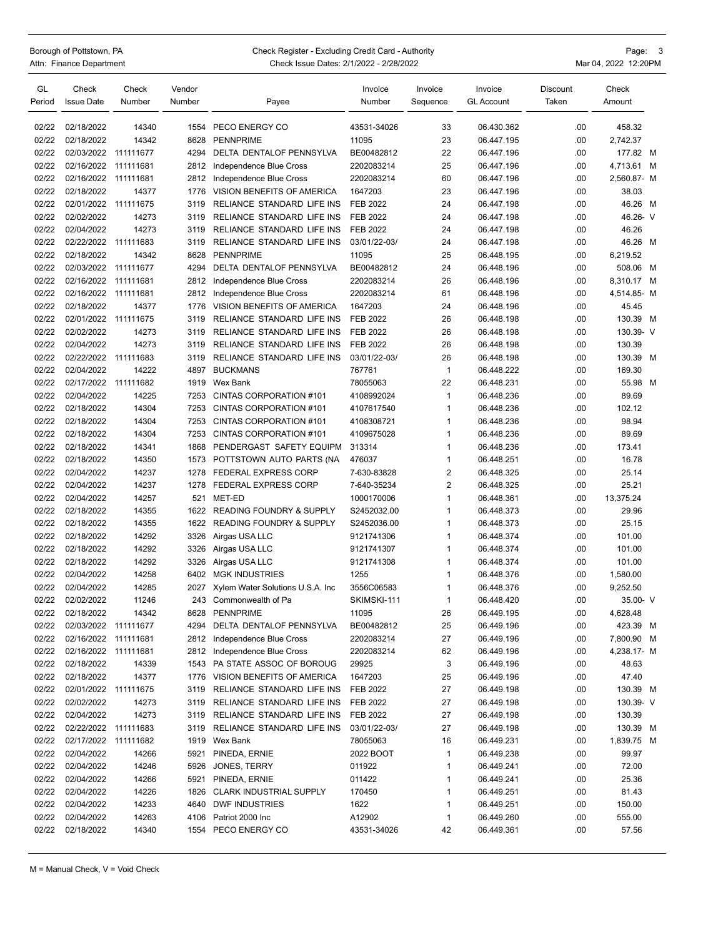## Borough of Pottstown, PA Check Register - Excluding Credit Card - Authority Page: 3<br>Attn: Finance Department Check Issue Dates: 2/1/2022 - 2/28/2022 Check Issue Dates: 2/1/2022 - 2/28/2022 Mar 04, 2022 12:20PM

| GL<br>Period | Check<br><b>Issue Date</b> | Check<br>Number | Vendor<br>Number | Payee                               | Invoice<br>Number | Invoice<br>Sequence | Invoice<br><b>GL Account</b> | Discount<br>Taken | Check<br>Amount |  |
|--------------|----------------------------|-----------------|------------------|-------------------------------------|-------------------|---------------------|------------------------------|-------------------|-----------------|--|
| 02/22        | 02/18/2022                 | 14340           | 1554             | PECO ENERGY CO                      | 43531-34026       | 33                  | 06.430.362                   | .00.              | 458.32          |  |
| 02/22        | 02/18/2022                 | 14342           | 8628             | <b>PENNPRIME</b>                    | 11095             | 23                  | 06.447.195                   | .00               | 2,742.37        |  |
| 02/22        | 02/03/2022                 | 111111677       | 4294             | DELTA DENTALOF PENNSYLVA            | BE00482812        | 22                  | 06.447.196                   | .00.              | 177.82 M        |  |
| 02/22        | 02/16/2022                 | 111111681       | 2812             | Independence Blue Cross             | 2202083214        | 25                  | 06.447.196                   | .00               | 4,713.61 M      |  |
| 02/22        | 02/16/2022                 | 111111681       | 2812             | Independence Blue Cross             | 2202083214        | 60                  | 06.447.196                   | .00               | 2,560.87- M     |  |
| 02/22        | 02/18/2022                 | 14377           | 1776             | VISION BENEFITS OF AMERICA          | 1647203           | 23                  | 06.447.196                   | .00               | 38.03           |  |
| 02/22        | 02/01/2022                 | 111111675       | 3119             | RELIANCE STANDARD LIFE INS          | <b>FEB 2022</b>   | 24                  | 06.447.198                   | .00               | 46.26 M         |  |
| 02/22        | 02/02/2022                 | 14273           | 3119             | RELIANCE STANDARD LIFE INS          | <b>FEB 2022</b>   | 24                  | 06.447.198                   | .00               | 46.26- V        |  |
| 02/22        | 02/04/2022                 | 14273           | 3119             | RELIANCE STANDARD LIFE INS          | <b>FEB 2022</b>   | 24                  | 06.447.198                   | .00               | 46.26           |  |
| 02/22        | 02/22/2022                 | 111111683       | 3119             | <b>RELIANCE STANDARD LIFE INS</b>   | 03/01/22-03/      | 24                  | 06.447.198                   | .00               | 46.26 M         |  |
| 02/22        | 02/18/2022                 | 14342           | 8628             | <b>PENNPRIME</b>                    | 11095             | 25                  | 06.448.195                   | .00               | 6,219.52        |  |
| 02/22        | 02/03/2022                 | 111111677       | 4294             | DELTA DENTALOF PENNSYLVA            | BE00482812        | 24                  | 06.448.196                   | .00               | 508.06 M        |  |
| 02/22        | 02/16/2022                 | 111111681       | 2812             | Independence Blue Cross             | 2202083214        | 26                  | 06.448.196                   | .00               | 8,310.17 M      |  |
| 02/22        | 02/16/2022                 | 111111681       | 2812             | Independence Blue Cross             | 2202083214        | 61                  | 06.448.196                   | .00               | 4,514.85- M     |  |
| 02/22        | 02/18/2022                 | 14377           | 1776             | VISION BENEFITS OF AMERICA          | 1647203           | 24                  | 06.448.196                   | .00               | 45.45           |  |
| 02/22        | 02/01/2022 111111675       |                 | 3119             | RELIANCE STANDARD LIFE INS          | <b>FEB 2022</b>   | 26                  | 06.448.198                   | .00               | 130.39 M        |  |
| 02/22        | 02/02/2022                 | 14273           | 3119             | RELIANCE STANDARD LIFE INS          | <b>FEB 2022</b>   | 26                  | 06.448.198                   | .00               | 130.39- V       |  |
| 02/22        | 02/04/2022                 | 14273           | 3119             | RELIANCE STANDARD LIFE INS          | <b>FEB 2022</b>   | 26                  | 06.448.198                   | .00.              | 130.39          |  |
| 02/22        | 02/22/2022                 | 111111683       | 3119             | RELIANCE STANDARD LIFE INS          | 03/01/22-03/      | 26                  | 06.448.198                   | .00               | 130.39 M        |  |
| 02/22        | 02/04/2022                 | 14222           | 4897             | <b>BUCKMANS</b>                     | 767761            | $\overline{1}$      | 06.448.222                   | .00               | 169.30          |  |
| 02/22        | 02/17/2022 111111682       |                 | 1919             | Wex Bank                            | 78055063          | 22                  | 06.448.231                   | .00               | 55.98 M         |  |
| 02/22        | 02/04/2022                 | 14225           | 7253             | CINTAS CORPORATION #101             | 4108992024        | $\mathbf{1}$        | 06.448.236                   | .00               | 89.69           |  |
| 02/22        | 02/18/2022                 | 14304           | 7253             | CINTAS CORPORATION #101             | 4107617540        | $\mathbf{1}$        | 06.448.236                   | .00               | 102.12          |  |
| 02/22        | 02/18/2022                 | 14304           | 7253             | CINTAS CORPORATION #101             | 4108308721        | $\mathbf{1}$        | 06.448.236                   | .00               | 98.94           |  |
| 02/22        | 02/18/2022                 | 14304           | 7253             | CINTAS CORPORATION #101             | 4109675028        | $\mathbf{1}$        | 06.448.236                   | .00               | 89.69           |  |
| 02/22        | 02/18/2022                 | 14341           | 1868             | PENDERGAST SAFETY EQUIPM            | 313314            | $\mathbf{1}$        | 06.448.236                   | .00               | 173.41          |  |
| 02/22        | 02/18/2022                 | 14350           | 1573             | POTTSTOWN AUTO PARTS (NA            | 476037            | $\mathbf{1}$        | 06.448.251                   | .00               | 16.78           |  |
| 02/22        | 02/04/2022                 | 14237           | 1278             | <b>FEDERAL EXPRESS CORP</b>         | 7-630-83828       | $\overline{2}$      | 06.448.325                   | .00               | 25.14           |  |
| 02/22        | 02/04/2022                 | 14237           | 1278             | <b>FEDERAL EXPRESS CORP</b>         | 7-640-35234       | $\overline{2}$      | 06.448.325                   | .00               | 25.21           |  |
| 02/22        | 02/04/2022                 | 14257           | 521              | MET-ED                              | 1000170006        | $\mathbf{1}$        | 06.448.361                   | .00               | 13,375.24       |  |
| 02/22        | 02/18/2022                 | 14355           | 1622             | <b>READING FOUNDRY &amp; SUPPLY</b> | S2452032.00       | $\mathbf{1}$        | 06.448.373                   | .00               | 29.96           |  |
| 02/22        | 02/18/2022                 | 14355           | 1622             | <b>READING FOUNDRY &amp; SUPPLY</b> | S2452036.00       | $\mathbf{1}$        | 06.448.373                   | .00               | 25.15           |  |
| 02/22        | 02/18/2022                 | 14292           | 3326             | Airgas USA LLC                      | 9121741306        | $\mathbf{1}$        | 06.448.374                   | .00               | 101.00          |  |
| 02/22        | 02/18/2022                 | 14292           | 3326             | Airgas USA LLC                      | 9121741307        | $\mathbf{1}$        | 06.448.374                   | .00               | 101.00          |  |
| 02/22        | 02/18/2022                 | 14292           | 3326             | Airgas USA LLC                      | 9121741308        | $\mathbf{1}$        | 06.448.374                   | .00               | 101.00          |  |
| 02/22        | 02/04/2022                 | 14258           | 6402             | <b>MGK INDUSTRIES</b>               | 1255              | $\mathbf{1}$        | 06.448.376                   | .00               | 1,580.00        |  |
| 02/22        | 02/04/2022                 | 14285           | 2027             | Xylem Water Solutions U.S.A. Inc    | 3556C06583        | $\mathbf{1}$        | 06.448.376                   | .00               | 9,252.50        |  |
| 02/22        | 02/02/2022                 | 11246           | 243              | Commonwealth of Pa                  | SKIMSKI-111       | $\mathbf{1}$        | 06.448.420                   | .00.              | 35.00- V        |  |
| 02/22        | 02/18/2022                 | 14342           | 8628             | PENNPRIME                           | 11095             | 26                  | 06.449.195                   | .00               | 4,628.48        |  |
| 02/22        | 02/03/2022 111111677       |                 | 4294             | DELTA DENTALOF PENNSYLVA            | BE00482812        | 25                  | 06.449.196                   | .00               | 423.39 M        |  |
| 02/22        | 02/16/2022 111111681       |                 | 2812             | Independence Blue Cross             | 2202083214        | 27                  | 06.449.196                   | .00               | 7,800.90 M      |  |
| 02/22        | 02/16/2022 111111681       |                 | 2812             | Independence Blue Cross             | 2202083214        | 62                  | 06.449.196                   | .00               | 4,238.17- M     |  |
| 02/22        | 02/18/2022                 | 14339           |                  | 1543 PA STATE ASSOC OF BOROUG       | 29925             | 3                   | 06.449.196                   | .00.              | 48.63           |  |
| 02/22        | 02/18/2022                 | 14377           | 1776             | VISION BENEFITS OF AMERICA          | 1647203           | 25                  | 06.449.196                   | .00               | 47.40           |  |
| 02/22        | 02/01/2022 111111675       |                 | 3119             | RELIANCE STANDARD LIFE INS          | FEB 2022          | 27                  | 06.449.198                   | .00               | 130.39 M        |  |
| 02/22        | 02/02/2022                 | 14273           | 3119             | RELIANCE STANDARD LIFE INS          | FEB 2022          | 27                  | 06.449.198                   | .00               | 130.39-V        |  |
| 02/22        | 02/04/2022                 | 14273           | 3119             | RELIANCE STANDARD LIFE INS          | FEB 2022          | 27                  | 06.449.198                   | .00               | 130.39          |  |
| 02/22        | 02/22/2022 111111683       |                 | 3119             | RELIANCE STANDARD LIFE INS          | 03/01/22-03/      | 27                  | 06.449.198                   | .00               | 130.39 M        |  |
| 02/22        | 02/17/2022 111111682       |                 | 1919             | Wex Bank                            | 78055063          | 16                  | 06.449.231                   | .00               | 1,839.75 M      |  |
| 02/22        | 02/04/2022                 | 14266           | 5921             | PINEDA, ERNIE                       | 2022 BOOT         | $\mathbf{1}$        | 06.449.238                   | .00               | 99.97           |  |
| 02/22        | 02/04/2022                 | 14246           | 5926             | JONES, TERRY                        | 011922            | $\mathbf{1}$        | 06.449.241                   | .00               | 72.00           |  |
| 02/22        | 02/04/2022                 | 14266           | 5921             | PINEDA, ERNIE                       | 011422            | $\mathbf{1}$        | 06.449.241                   | .00               | 25.36           |  |
| 02/22        | 02/04/2022                 | 14226           | 1826             | <b>CLARK INDUSTRIAL SUPPLY</b>      | 170450            | $\mathbf{1}$        | 06.449.251                   | .00               | 81.43           |  |
| 02/22        | 02/04/2022                 | 14233           | 4640             | <b>DWF INDUSTRIES</b>               | 1622              | 1                   | 06.449.251                   | .00               | 150.00          |  |
| 02/22        | 02/04/2022                 | 14263           | 4106             | Patriot 2000 Inc                    | A12902            | $\mathbf 1$         | 06.449.260                   | .00               | 555.00          |  |
| 02/22        | 02/18/2022                 | 14340           | 1554             | PECO ENERGY CO                      | 43531-34026       | 42                  | 06.449.361                   | .00               | 57.56           |  |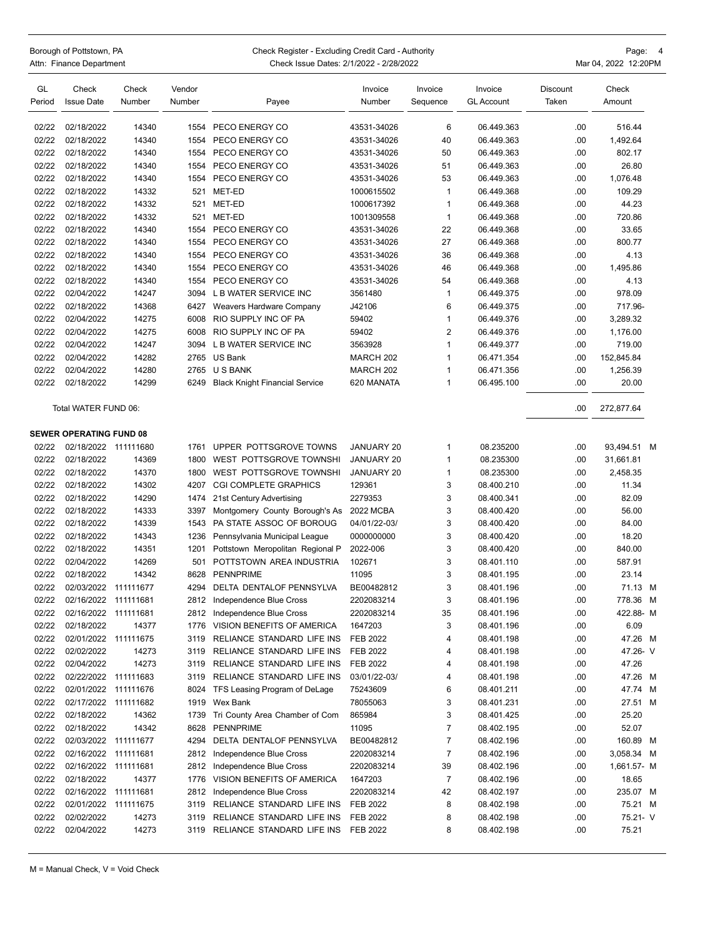Borough of Pottstown, PA **Check Register - Excluding Credit Card - Authority Card - Authority** Page: 4 Attn: Finance Department **Check Issue Dates: 2/1/2022 - 2/28/2022** Mar 04, 2022 12:20PM GL Check Check Vendor Invoice Invoice Invoice Discount Check Period Issue Date Number Number Payee Number Sequence GL Account Taken Amount 02/22 02/18/2022 14340 1554 PECO ENERGY CO 43531-34026 6 06.449.363 00 516.44 02/22 02/18/2022 14340 1554 PECO ENERGY CO 43531-34026 40 06.449.363 02/18/2022 14340 02/22 02/18/2022 14340 1554 PECO ENERGY CO 43531-34026 50 06.449.363 .00 802.17 02/22 02/18/2022 14340 1554 PECO ENERGY CO 43531-34026 51 06.449.363 00 26.80 02/22 02/18/2022 14340 1554 PECO ENERGY CO 43531-34026 53 06.449.363 0.00 1,076.48 02/22 02/18/2022 14332 521 MET-ED 1000615502 1 06.449.368 .00 109.29 02/22 02/18/2022 14332 521 MET-ED 1000617392 1 06.449.368 .00 44.23 02/22 02/18/2022 14332 521 MET-ED 1001309558 1 06.449.368 .00 720.86 02/22 02/18/2022 14340 1554 PECO ENERGY CO 43531-34026 22 06.449.368 .00 33.65 02/22 02/18/2022 14340 1554 PECO ENERGY CO 43531-34026 27 06.449.368 .00 800.77 02/22 02/18/2022 14340 1554 PECO ENERGY CO 43531-34026 36 06.449.368 .00 4.13 02/22 02/18/2022 14340 1554 PECO ENERGY CO 43531-34026 46 06.449.368 02/18/2022 1495.86 02/22 02/18/2022 14340 1554 PECO ENERGY CO 43531-34026 54 06.449.368 02/18 02/22 02/04/2022 14247 3094 L B WATER SERVICE INC 3561480 1 06.449.375 .00 978.09 02/22 02/18/2022 14368 6427 Weavers Hardware Company J42106 6 06.449.375 .00 717.96- 02/22 02/04/2022 14275 6008 RIO SUPPLY INC OF PA 59402 1 06.449.376 .00 3,289.32 02/22 02/04/2022 14275 6008 RIO SUPPLY INC OF PA 59402 2 06.449.376 .00 1.176.00 02/22 02/04/2022 14247 3094 L B WATER SERVICE INC 3563928 1 06.449.377 .00 719.00 02/22 02/04/2022 14282 2765 US Bank MARCH 202 1 06.471.354 .00 152,845.84 02/22 02/04/2022 14280 2765 U S BANK MARCH 202 1 06.471.356 .00 1,256.39 02/22 02/18/2022 14299 6249 Black Knight Financial Service 620 MANATA 1 06.495.100 .00 20.00 Total WATER FUND 06: .00 272,877.64 **SEWER OPERATING FUND 08** 02/22 02/18/2022 111111680 1761 UPPER POTTSGROVE TOWNS JANUARY 20 1 08.235200 0 09.3494.51 M 02/22 02/18/2022 14369 1800 WEST POTTSGROVE TOWNSHI JANUARY 20 1 08.235300 .00 31,661.81 02/22 02/18/2022 14370 1800 WEST POTTSGROVE TOWNSHI JANUARY 20 1 08.235300 .00 2,458.35 02/22 02/18/2022 14302 4207 CGI COMPLETE GRAPHICS 129361 3 08.400.210 00 11.34 02/22 02/18/2022 14290 1474 21st Century Advertising 2279353 3 08.400.341 .00 82.09 02/22 02/18/2022 14333 3397 Montgomery County Borough's As 2022 MCBA 3 08.400.420 .00 56.00 02/22 02/18/2022 14339 1543 PA STATE ASSOC OF BOROUG 04/01/22-03/ 3 08.400.420 .00 84.00 02/22 02/18/2022 14343 1236 Pennsylvania Municipal League 0000000000 3 08.400.420 .00 18.20 02/22 02/18/2022 14351 1201 Pottstown Meropolitan Regional P 2022-006 3 08.400.420 .00 840.00 02/22 02/04/2022 14269 501 POTTSTOWN AREA INDUSTRIA 102671 3 08.401.110 .00 587.91 02/22 02/18/2022 14342 8628 PENNPRIME 11095 3 08.401.195 .00 23.14 02/22 02/03/2022 111111677 4294 DELTA DENTALOF PENNSYLVA BE00482812 3 08.401.196 .00 71.13 M 02/22 02/16/2022 111111681 2812 Independence Blue Cross 2202083214 3 08.401.196 .00 778.36 M 02/22 02/16/2022 111111681 2812 Independence Blue Cross 2202083214 35 08.401.196 .00 422.88- M 02/22 02/18/2022 14377 1776 VISION BENEFITS OF AMERICA 1647203 3 08.401.196 .09 6.09 02/22 02/01/2022 111111675 3119 RELIANCE STANDARD LIFE INS FER 2022 4 08:401.198 00 47.26 M 02/22 02/02/2022 14273 3119 RELIANCE STANDARD LIFE INS FEB 2022 4 08.401.198 .00 47.26- V 02/22 02/04/2022 14273 3119 RELIANCE STANDARD LIFE INS FEB 2022 4 08.401.198 .00 47.26 02/22 02/22/2022 111111683 3119 RELIANCE STANDARD LIFE INS 03/01/22-03/ 4 08.401.198 .00 47.26 M 02/22 02/01/2022 111111676 8024 TFS Leasing Program of DeLage 75243609 6 08.401.211 .00 47.74 M 02/22 02/17/2022 111111682 1919 Wex Bank 78055063 3 08.401.231 00 27.51 M 02/22 02/18/2022 14362 1739 Tri County Area Chamber of Com 865984 3 08.401.425 .00 25.20 02/22 02/18/2022 14342 8628 PENNPRIME 11095 7 08.402.195 .00 52.07 02/22 02/03/2022 111111677 4294 DELTA DENTALOF PENNSYLVA BE00482812 7 08.402.196 .00 160.89 M 02/22 02/16/2022 111111681 2812 Independence Blue Cross 2202083214 7 08.402.196 .00 3,058.34 M 02/22 02/16/2022 111111681 2812 Independence Blue Cross 2202083214 39 08.402.196 .00 1.661.57- M 02/22 02/18/2022 14377 1776 VISION BENEFITS OF AMERICA 1647203 7 08.402.196 .00 18.65 02/22 02/16/2022 111111681 2812 Independence Blue Cross 2202083214 42 08.402.197 .00 235.07 M 02/22 02/01/2022 111111675 3119 RELIANCE STANDARD LIFE INS FEB 2022 8 08.402.198 .00 75.21 M 02/22 02/02/2022 14273 3119 RELIANCE STANDARD LIFE INS FEB 2022 8 08.402.198 02/02/2022 52.21- V 02/22 02/04/2022 14273 3119 RELIANCE STANDARD LIFE INS FEB 2022 8 08.402.198 .00 75.21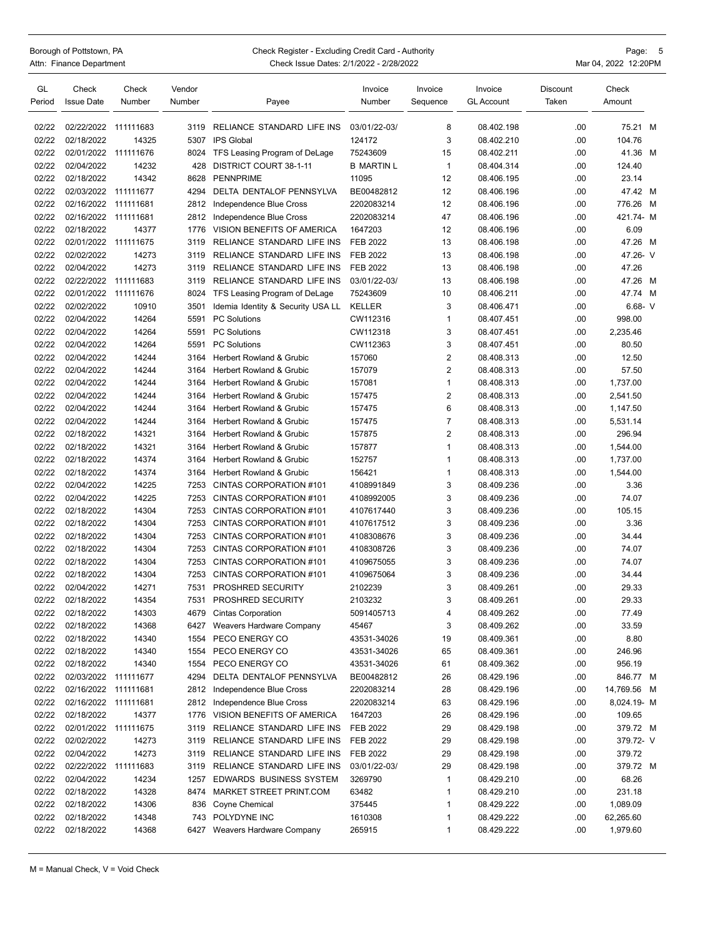## Borough of Pottstown, PA Check Register - Excluding Credit Card - Authority Page: 5<br>Attn: Finance Department Check Issue Dates: 2/1/2022 - 2/28/2022 Check Issue Dates: 2/1/2022 - 2/28/2022 Mar 04, 2022 12:20PM

| GL<br>Period | Check<br><b>Issue Date</b> | Check<br>Number | Vendor<br>Number | Payee                             | Invoice<br>Number | Invoice<br>Sequence | Invoice<br><b>GL Account</b> | Discount<br>Taken | Check<br>Amount |   |
|--------------|----------------------------|-----------------|------------------|-----------------------------------|-------------------|---------------------|------------------------------|-------------------|-----------------|---|
| 02/22        | 02/22/2022                 | 111111683       | 3119             | RELIANCE STANDARD LIFE INS        | 03/01/22-03/      | 8                   | 08.402.198                   | .00.              | 75.21 M         |   |
| 02/22        | 02/18/2022                 | 14325           | 5307             | <b>IPS Global</b>                 | 124172            | 3                   | 08.402.210                   | .00               | 104.76          |   |
| 02/22        | 02/01/2022 111111676       |                 | 8024             | TFS Leasing Program of DeLage     | 75243609          | 15                  | 08.402.211                   | .00.              | 41.36 M         |   |
| 02/22        | 02/04/2022                 | 14232           | 428              | DISTRICT COURT 38-1-11            | <b>B MARTIN L</b> | $\mathbf{1}$        | 08.404.314                   | .00               | 124.40          |   |
| 02/22        | 02/18/2022                 | 14342           | 8628             | <b>PENNPRIME</b>                  | 11095             | 12                  | 08.406.195                   | .00.              | 23.14           |   |
| 02/22        | 02/03/2022                 | 111111677       | 4294             | DELTA DENTALOF PENNSYLVA          | BE00482812        | 12                  | 08.406.196                   | .00               | 47.42 M         |   |
| 02/22        | 02/16/2022                 | 111111681       | 2812             | Independence Blue Cross           | 2202083214        | 12                  | 08.406.196                   | .00               | 776.26          | M |
| 02/22        | 02/16/2022 111111681       |                 | 2812             | Independence Blue Cross           | 2202083214        | 47                  | 08.406.196                   | .00.              | 421.74- M       |   |
| 02/22        | 02/18/2022                 | 14377           | 1776             | VISION BENEFITS OF AMERICA        | 1647203           | 12                  | 08.406.196                   | .00               | 6.09            |   |
| 02/22        | 02/01/2022                 | 111111675       | 3119             | RELIANCE STANDARD LIFE INS        | <b>FEB 2022</b>   | 13                  | 08.406.198                   | .00.              | 47.26 M         |   |
| 02/22        | 02/02/2022                 | 14273           | 3119             | RELIANCE STANDARD LIFE INS        | <b>FEB 2022</b>   | 13                  | 08.406.198                   | .00.              | 47.26- V        |   |
| 02/22        | 02/04/2022                 | 14273           | 3119             | RELIANCE STANDARD LIFE INS        | FEB 2022          | 13                  | 08.406.198                   | .00.              | 47.26           |   |
| 02/22        | 02/22/2022 111111683       |                 | 3119             | RELIANCE STANDARD LIFE INS        | 03/01/22-03/      | 13                  | 08.406.198                   | .00.              | 47.26 M         |   |
| 02/22        | 02/01/2022                 | 111111676       | 8024             | TFS Leasing Program of DeLage     | 75243609          | 10                  | 08.406.211                   | .00               | 47.74 M         |   |
| 02/22        | 02/02/2022                 | 10910           | 3501             | Idemia Identity & Security USA LL | KELLER            | 3                   | 08.406.471                   | .00               | $6.68 - V$      |   |
| 02/22        | 02/04/2022                 | 14264           | 5591             | <b>PC Solutions</b>               | CW112316          | $\mathbf{1}$        | 08.407.451                   | .00.              | 998.00          |   |
| 02/22        | 02/04/2022                 | 14264           | 5591             | <b>PC Solutions</b>               | CW112318          | 3                   | 08.407.451                   | .00.              | 2,235.46        |   |
| 02/22        | 02/04/2022                 | 14264           | 5591             | <b>PC Solutions</b>               | CW112363          | 3                   | 08.407.451                   | .00.              | 80.50           |   |
| 02/22        | 02/04/2022                 | 14244           | 3164             | Herbert Rowland & Grubic          | 157060            | $\overline{2}$      | 08.408.313                   | .00               | 12.50           |   |
| 02/22        | 02/04/2022                 | 14244           | 3164             | Herbert Rowland & Grubic          | 157079            | $\overline{2}$      | 08.408.313                   | .00.              | 57.50           |   |
| 02/22        | 02/04/2022                 | 14244           | 3164             | Herbert Rowland & Grubic          | 157081            | $\mathbf{1}$        | 08.408.313                   | .00.              | 1,737.00        |   |
| 02/22        | 02/04/2022                 | 14244           | 3164             | Herbert Rowland & Grubic          | 157475            | $\overline{2}$      | 08.408.313                   | .00               | 2,541.50        |   |
| 02/22        | 02/04/2022                 | 14244           | 3164             | Herbert Rowland & Grubic          | 157475            | 6                   | 08.408.313                   | .00.              | 1,147.50        |   |
| 02/22        | 02/04/2022                 | 14244           | 3164             | Herbert Rowland & Grubic          | 157475            | $\overline{7}$      | 08.408.313                   | .00               | 5,531.14        |   |
| 02/22        | 02/18/2022                 | 14321           | 3164             | Herbert Rowland & Grubic          | 157875            | $\overline{2}$      | 08.408.313                   | .00.              | 296.94          |   |
| 02/22        | 02/18/2022                 | 14321           | 3164             | Herbert Rowland & Grubic          | 157877            | $\mathbf{1}$        | 08.408.313                   | .00.              | 1,544.00        |   |
| 02/22        | 02/18/2022                 | 14374           | 3164             | Herbert Rowland & Grubic          | 152757            | $\mathbf{1}$        | 08.408.313                   | .00.              | 1,737.00        |   |
| 02/22        | 02/18/2022                 | 14374           | 3164             | Herbert Rowland & Grubic          | 156421            | $\mathbf{1}$        | 08.408.313                   | .00.              | 1,544.00        |   |
| 02/22        | 02/04/2022                 | 14225           | 7253             | CINTAS CORPORATION #101           | 4108991849        | 3                   | 08.409.236                   | .00               | 3.36            |   |
| 02/22        | 02/04/2022                 | 14225           | 7253             | CINTAS CORPORATION #101           | 4108992005        | 3                   | 08.409.236                   | .00.              | 74.07           |   |
| 02/22        | 02/18/2022                 | 14304           | 7253             | CINTAS CORPORATION #101           | 4107617440        | 3                   | 08.409.236                   | .00.              | 105.15          |   |
| 02/22        | 02/18/2022                 | 14304           | 7253             | CINTAS CORPORATION #101           | 4107617512        | 3                   | 08.409.236                   | .00               | 3.36            |   |
| 02/22        | 02/18/2022                 | 14304           | 7253             | CINTAS CORPORATION #101           | 4108308676        | 3                   | 08.409.236                   | .00.              | 34.44           |   |
| 02/22        | 02/18/2022                 | 14304           | 7253             | CINTAS CORPORATION #101           | 4108308726        | 3                   | 08.409.236                   | .00               | 74.07           |   |
| 02/22        | 02/18/2022                 | 14304           | 7253             | CINTAS CORPORATION #101           | 4109675055        | 3                   | 08.409.236                   | .00               | 74.07           |   |
| 02/22        | 02/18/2022                 | 14304           | 7253             | CINTAS CORPORATION #101           | 4109675064        | 3                   | 08.409.236                   | .00               | 34.44           |   |
| 02/22        | 02/04/2022                 | 14271           | 7531             | PROSHRED SECURITY                 | 2102239           | 3                   | 08.409.261                   | .00               | 29.33           |   |
| 02/22        | 02/18/2022                 | 14354           | 7531             | PROSHRED SECURITY                 | 2103232           | 3                   | 08.409.261                   | .00               | 29.33           |   |
| 02/22        | 02/18/2022                 | 14303           | 4679             | <b>Cintas Corporation</b>         | 5091405713        | 4                   | 08.409.262                   | .00               | 77.49           |   |
| 02/22        | 02/18/2022                 | 14368           |                  | 6427 Weavers Hardware Company     | 45467             | 3                   | 08.409.262                   | .00               | 33.59           |   |
| 02/22        | 02/18/2022                 | 14340           | 1554             | PECO ENERGY CO                    | 43531-34026       | 19                  | 08.409.361                   | .00               | 8.80            |   |
| 02/22        | 02/18/2022                 | 14340           | 1554             | PECO ENERGY CO                    | 43531-34026       | 65                  | 08.409.361                   | .00               | 246.96          |   |
| 02/22        | 02/18/2022                 | 14340           | 1554             | PECO ENERGY CO                    | 43531-34026       | 61                  | 08.409.362                   | .00               | 956.19          |   |
| 02/22        | 02/03/2022 111111677       |                 | 4294             | DELTA DENTALOF PENNSYLVA          | BE00482812        | 26                  | 08.429.196                   | .00               | 846.77 M        |   |
| 02/22        | 02/16/2022 111111681       |                 | 2812             | Independence Blue Cross           | 2202083214        | 28                  | 08.429.196                   | .00               | 14,769.56 M     |   |
| 02/22        | 02/16/2022 111111681       |                 | 2812             | Independence Blue Cross           | 2202083214        | 63                  | 08.429.196                   | .00               | 8,024.19- M     |   |
| 02/22        | 02/18/2022                 | 14377           | 1776             | VISION BENEFITS OF AMERICA        | 1647203           | 26                  | 08.429.196                   | .00               | 109.65          |   |
| 02/22        | 02/01/2022 111111675       |                 | 3119             | RELIANCE STANDARD LIFE INS        | FEB 2022          | 29                  | 08.429.198                   | .00               | 379.72 M        |   |
| 02/22        | 02/02/2022                 | 14273           | 3119             | RELIANCE STANDARD LIFE INS        | <b>FEB 2022</b>   | 29                  | 08.429.198                   | .00               | 379.72- V       |   |
| 02/22        | 02/04/2022                 | 14273           | 3119             | RELIANCE STANDARD LIFE INS        | FEB 2022          | 29                  | 08.429.198                   | .00               | 379.72          |   |
| 02/22        | 02/22/2022 111111683       |                 | 3119             | RELIANCE STANDARD LIFE INS        | 03/01/22-03/      | 29                  | 08.429.198                   | .00               | 379.72 M        |   |
| 02/22        | 02/04/2022                 | 14234           | 1257             | EDWARDS BUSINESS SYSTEM           | 3269790           | $\mathbf{1}$        | 08.429.210                   | .00               | 68.26           |   |
| 02/22        | 02/18/2022                 | 14328           | 8474             | MARKET STREET PRINT.COM           | 63482             | $\mathbf{1}$        | 08.429.210                   | .00               | 231.18          |   |
| 02/22        | 02/18/2022                 | 14306           | 836              | Coyne Chemical                    | 375445            | $\mathbf{1}$        | 08.429.222                   | .00               | 1,089.09        |   |
| 02/22        | 02/18/2022                 | 14348           | 743              | POLYDYNE INC                      | 1610308           | $\mathbf{1}$        | 08.429.222                   | .00               | 62,265.60       |   |
| 02/22        | 02/18/2022                 | 14368           | 6427             | Weavers Hardware Company          | 265915            | $\mathbf{1}$        | 08.429.222                   | .00               | 1,979.60        |   |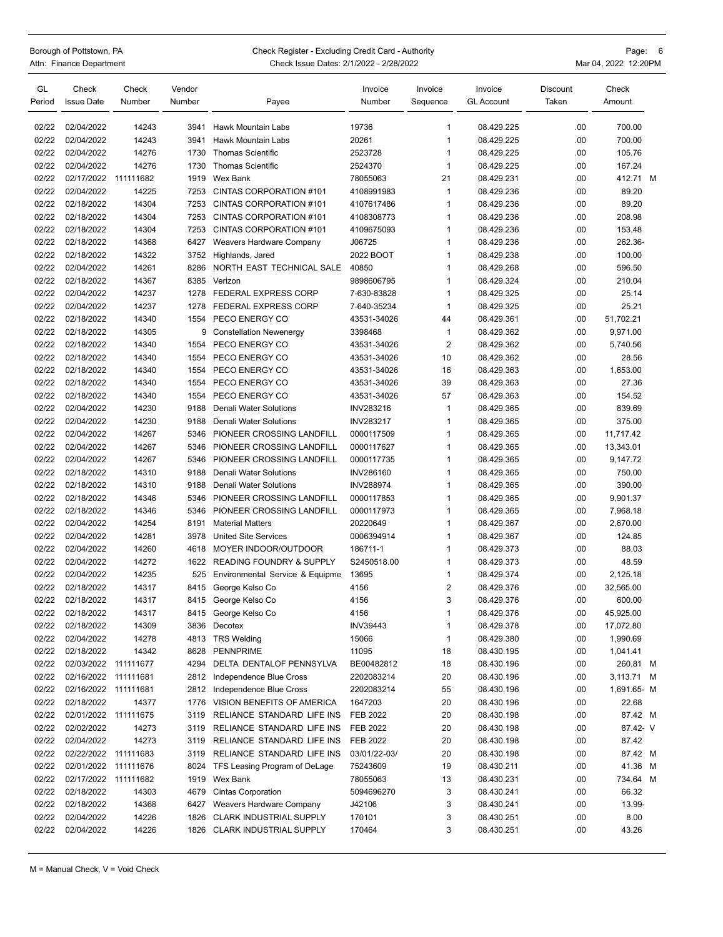## Borough of Pottstown, PA Page: 6 Check Register - Excluding Credit Card - Authority Page: 6 Page: 6 Page: 6 Check Issue Dates: 2/1/2022 - 2/28/2022 Check Issue Dates: 2/1/2022 - 2/28/2022

| GL     | Check                | Check  | Vendor |                                     | Invoice          | Invoice        | Invoice           | Discount | Check       |  |
|--------|----------------------|--------|--------|-------------------------------------|------------------|----------------|-------------------|----------|-------------|--|
| Period | <b>Issue Date</b>    | Number | Number | Payee                               | Number           | Sequence       | <b>GL Account</b> | Taken    | Amount      |  |
|        |                      |        |        |                                     |                  |                |                   |          |             |  |
| 02/22  | 02/04/2022           | 14243  | 3941   | Hawk Mountain Labs                  | 19736            | $\mathbf{1}$   | 08.429.225        | .00      | 700.00      |  |
| 02/22  | 02/04/2022           | 14243  | 3941   | Hawk Mountain Labs                  | 20261            | 1              | 08.429.225        | .00      | 700.00      |  |
| 02/22  | 02/04/2022           | 14276  | 1730   | <b>Thomas Scientific</b>            | 2523728          | 1              | 08.429.225        | .00      | 105.76      |  |
| 02/22  | 02/04/2022           | 14276  | 1730   | <b>Thomas Scientific</b>            | 2524370          | $\mathbf 1$    | 08.429.225        | .00      | 167.24      |  |
| 02/22  | 02/17/2022 111111682 |        | 1919   | Wex Bank                            | 78055063         | 21             | 08.429.231        | .00      | 412.71 M    |  |
| 02/22  | 02/04/2022           | 14225  | 7253   | CINTAS CORPORATION #101             | 4108991983       | $\mathbf{1}$   | 08.429.236        | .00      | 89.20       |  |
| 02/22  | 02/18/2022           | 14304  | 7253   | CINTAS CORPORATION #101             | 4107617486       | 1              | 08.429.236        | .00      | 89.20       |  |
| 02/22  | 02/18/2022           | 14304  | 7253   | CINTAS CORPORATION #101             | 4108308773       | 1              | 08.429.236        | .00      | 208.98      |  |
| 02/22  | 02/18/2022           | 14304  | 7253   | CINTAS CORPORATION #101             | 4109675093       | 1              | 08.429.236        | .00      | 153.48      |  |
| 02/22  | 02/18/2022           | 14368  | 6427   | Weavers Hardware Company            | J06725           | 1              | 08.429.236        | .00      | 262.36-     |  |
| 02/22  | 02/18/2022           | 14322  | 3752   | Highlands, Jared                    | 2022 BOOT        | 1              | 08.429.238        | .00      | 100.00      |  |
| 02/22  | 02/04/2022           | 14261  | 8286   | NORTH EAST TECHNICAL SALE           | 40850            | 1              | 08.429.268        | .00      | 596.50      |  |
| 02/22  | 02/18/2022           | 14367  | 8385   | Verizon                             | 9898606795       | 1              | 08.429.324        | .00      | 210.04      |  |
| 02/22  | 02/04/2022           | 14237  | 1278   | FEDERAL EXPRESS CORP                | 7-630-83828      | $\mathbf 1$    | 08.429.325        | .00      | 25.14       |  |
| 02/22  | 02/04/2022           | 14237  | 1278   | <b>FEDERAL EXPRESS CORP</b>         | 7-640-35234      | $\mathbf{1}$   | 08.429.325        | .00      | 25.21       |  |
|        |                      | 14340  | 1554   | PECO ENERGY CO                      | 43531-34026      | 44             |                   |          |             |  |
| 02/22  | 02/18/2022           |        |        |                                     | 3398468          |                | 08.429.361        | .00      | 51,702.21   |  |
| 02/22  | 02/18/2022           | 14305  | 9      | <b>Constellation Newenergy</b>      |                  | 1              | 08.429.362        | .00      | 9,971.00    |  |
| 02/22  | 02/18/2022           | 14340  | 1554   | PECO ENERGY CO                      | 43531-34026      | $\overline{2}$ | 08.429.362        | .00      | 5,740.56    |  |
| 02/22  | 02/18/2022           | 14340  | 1554   | PECO ENERGY CO                      | 43531-34026      | 10             | 08.429.362        | .00      | 28.56       |  |
| 02/22  | 02/18/2022           | 14340  | 1554   | PECO ENERGY CO                      | 43531-34026      | 16             | 08.429.363        | .00      | 1.653.00    |  |
| 02/22  | 02/18/2022           | 14340  | 1554   | PECO ENERGY CO                      | 43531-34026      | 39             | 08.429.363        | .00      | 27.36       |  |
| 02/22  | 02/18/2022           | 14340  | 1554   | PECO ENERGY CO                      | 43531-34026      | 57             | 08.429.363        | .00      | 154.52      |  |
| 02/22  | 02/04/2022           | 14230  | 9188   | Denali Water Solutions              | INV283216        | $\mathbf{1}$   | 08.429.365        | .00      | 839.69      |  |
| 02/22  | 02/04/2022           | 14230  | 9188   | <b>Denali Water Solutions</b>       | <b>INV283217</b> | 1              | 08.429.365        | .00      | 375.00      |  |
| 02/22  | 02/04/2022           | 14267  | 5346   | PIONEER CROSSING LANDFILL           | 0000117509       | 1              | 08.429.365        | .00      | 11,717.42   |  |
| 02/22  | 02/04/2022           | 14267  | 5346   | PIONEER CROSSING LANDFILL           | 0000117627       | 1              | 08.429.365        | .00      | 13,343.01   |  |
| 02/22  | 02/04/2022           | 14267  | 5346   | PIONEER CROSSING LANDFILL           | 0000117735       | 1              | 08.429.365        | .00      | 9,147.72    |  |
| 02/22  | 02/18/2022           | 14310  | 9188   | <b>Denali Water Solutions</b>       | INV286160        | 1              | 08.429.365        | .00      | 750.00      |  |
| 02/22  | 02/18/2022           | 14310  | 9188   | Denali Water Solutions              | <b>INV288974</b> | 1              | 08.429.365        | .00      | 390.00      |  |
| 02/22  | 02/18/2022           | 14346  | 5346   | PIONEER CROSSING LANDFILL           | 0000117853       | 1              | 08.429.365        | .00      | 9,901.37    |  |
| 02/22  | 02/18/2022           | 14346  | 5346   | PIONEER CROSSING LANDFILL           | 0000117973       | 1              | 08.429.365        | .00      | 7,968.18    |  |
| 02/22  | 02/04/2022           | 14254  | 8191   | <b>Material Matters</b>             | 20220649         | 1              | 08.429.367        | .00      | 2,670.00    |  |
| 02/22  | 02/04/2022           | 14281  | 3978   | <b>United Site Services</b>         | 0006394914       | 1              | 08.429.367        | .00      | 124.85      |  |
| 02/22  | 02/04/2022           | 14260  | 4618   | MOYER INDOOR/OUTDOOR                | 186711-1         | 1              | 08.429.373        | .00      | 88.03       |  |
| 02/22  | 02/04/2022           | 14272  | 1622   | <b>READING FOUNDRY &amp; SUPPLY</b> | S2450518.00      | 1              | 08.429.373        | .00      | 48.59       |  |
| 02/22  | 02/04/2022           | 14235  | 525    | Environmental Service & Equipme     | 13695            | 1              | 08.429.374        | .00      | 2,125.18    |  |
| 02/22  | 02/18/2022           | 14317  | 8415   | George Kelso Co                     | 4156             | 2              | 08.429.376        | .00      | 32,565.00   |  |
| 02/22  | 02/18/2022           | 14317  |        | 8415 George Kelso Co                | 4156             | 3              | 08.429.376        | .00      | 600.00      |  |
| 02/22  | 02/18/2022           | 14317  |        | 8415 George Kelso Co                | 4156             | 1              | 08.429.376        | .00      | 45,925.00   |  |
| 02/22  | 02/18/2022           | 14309  |        | 3836 Decotex                        | <b>INV39443</b>  | 1              | 08.429.378        | .00      | 17,072.80   |  |
| 02/22  | 02/04/2022           | 14278  |        | 4813 TRS Welding                    | 15066            | 1              | 08.429.380        | .00      | 1,990.69    |  |
| 02/22  | 02/18/2022           | 14342  |        | 8628 PENNPRIME                      | 11095            | 18             | 08.430.195        | .00      | 1,041.41    |  |
| 02/22  | 02/03/2022 111111677 |        | 4294   | DELTA DENTALOF PENNSYLVA            | BE00482812       | 18             | 08.430.196        | .00      | 260.81 M    |  |
| 02/22  | 02/16/2022 111111681 |        |        | 2812 Independence Blue Cross        | 2202083214       | 20             | 08.430.196        | .00      | 3,113.71 M  |  |
| 02/22  | 02/16/2022 111111681 |        |        | 2812 Independence Blue Cross        | 2202083214       | 55             | 08.430.196        | .00      | 1,691.65- M |  |
| 02/22  | 02/18/2022           | 14377  |        | 1776 VISION BENEFITS OF AMERICA     | 1647203          | 20             | 08.430.196        | .00      | 22.68       |  |
| 02/22  | 02/01/2022 111111675 |        | 3119   | RELIANCE STANDARD LIFE INS          | FEB 2022         | 20             | 08.430.198        | .00      | 87.42 M     |  |
| 02/22  | 02/02/2022           | 14273  |        | 3119 RELIANCE STANDARD LIFE INS     | <b>FEB 2022</b>  | 20             | 08.430.198        | .00      | 87.42- V    |  |
| 02/22  | 02/04/2022           | 14273  | 3119   | RELIANCE STANDARD LIFE INS          | FEB 2022         | 20             | 08.430.198        | .00      | 87.42       |  |
| 02/22  | 02/22/2022 111111683 |        |        | 3119 RELIANCE STANDARD LIFE INS     | 03/01/22-03/     | 20             | 08.430.198        | .00      | 87.42 M     |  |
| 02/22  | 02/01/2022 111111676 |        |        | 8024 TFS Leasing Program of DeLage  | 75243609         | 19             | 08.430.211        | .00      | 41.36 M     |  |
| 02/22  | 02/17/2022 111111682 |        |        | 1919 Wex Bank                       | 78055063         | 13             |                   |          | 734.64 M    |  |
|        |                      |        |        | 4679 Cintas Corporation             |                  |                | 08.430.231        | .00      | 66.32       |  |
| 02/22  | 02/18/2022           | 14303  |        |                                     | 5094696270       | 3<br>3         | 08.430.241        | .00      |             |  |
| 02/22  | 02/18/2022           | 14368  |        | 6427 Weavers Hardware Company       | J42106           |                | 08.430.241        | .00      | 13.99-      |  |
| 02/22  | 02/04/2022           | 14226  |        | 1826 CLARK INDUSTRIAL SUPPLY        | 170101           | 3              | 08.430.251        | .00      | 8.00        |  |
| 02/22  | 02/04/2022           | 14226  |        | 1826 CLARK INDUSTRIAL SUPPLY        | 170464           | 3              | 08.430.251        | .00      | 43.26       |  |
|        |                      |        |        |                                     |                  |                |                   |          |             |  |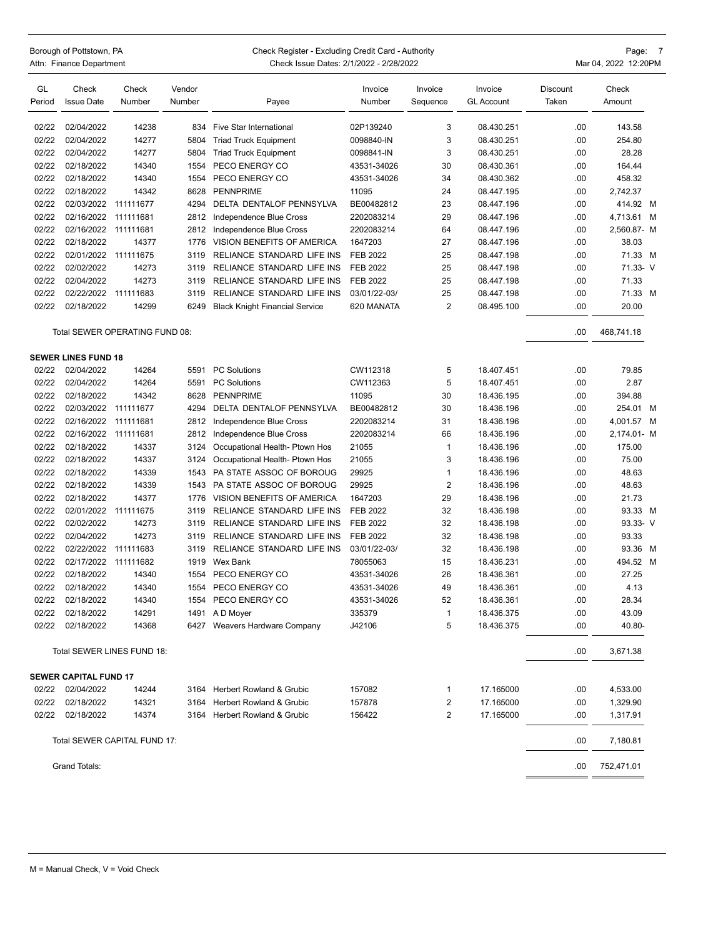Borough of Pottstown, PA **Page:** 7<br>Borough of Pottstown, PA Check Register - Excluding Credit Card - Authority<br>Mar 04, 2022 12:20PM Check Issue Dates: 2/1/2022 - 2/28/2022 Check Issue Dates: 2/1/2022 - 2/28/2022 Mar 04, 2022 12:20PM

| GL     | Check                        | Check                          | Vendor |                                       | Invoice         | Invoice                 | Invoice           | Discount | Check       |  |
|--------|------------------------------|--------------------------------|--------|---------------------------------------|-----------------|-------------------------|-------------------|----------|-------------|--|
| Period | <b>Issue Date</b>            | Number                         | Number | Payee                                 | Number          | Sequence                | <b>GL Account</b> | Taken    | Amount      |  |
| 02/22  | 02/04/2022                   | 14238                          | 834    | <b>Five Star International</b>        | 02P139240       | 3                       | 08.430.251        | .00      | 143.58      |  |
| 02/22  | 02/04/2022                   | 14277                          | 5804   | <b>Triad Truck Equipment</b>          | 0098840-IN      | 3                       | 08.430.251        | .00      | 254.80      |  |
| 02/22  | 02/04/2022                   | 14277                          | 5804   | <b>Triad Truck Equipment</b>          | 0098841-IN      | 3                       | 08.430.251        | .00      | 28.28       |  |
| 02/22  | 02/18/2022                   | 14340                          | 1554   | PECO ENERGY CO                        | 43531-34026     | 30                      | 08.430.361        | .00      | 164.44      |  |
| 02/22  | 02/18/2022                   | 14340                          | 1554   | PECO ENERGY CO                        | 43531-34026     | 34                      | 08.430.362        | .00      | 458.32      |  |
| 02/22  | 02/18/2022                   | 14342                          | 8628   | <b>PENNPRIME</b>                      | 11095           | 24                      | 08.447.195        | .00      | 2,742.37    |  |
| 02/22  | 02/03/2022                   | 111111677                      | 4294   | DELTA DENTALOF PENNSYLVA              | BE00482812      | 23                      | 08.447.196        | .00      | 414.92 M    |  |
| 02/22  | 02/16/2022                   | 111111681                      | 2812   | Independence Blue Cross               | 2202083214      | 29                      | 08.447.196        | .00      | 4,713.61 M  |  |
| 02/22  | 02/16/2022                   | 111111681                      | 2812   | Independence Blue Cross               | 2202083214      | 64                      | 08.447.196        | .00      | 2,560.87- M |  |
| 02/22  | 02/18/2022                   | 14377                          | 1776   | VISION BENEFITS OF AMERICA            | 1647203         | 27                      | 08.447.196        | .00      | 38.03       |  |
| 02/22  | 02/01/2022                   | 111111675                      | 3119   | RELIANCE STANDARD LIFE INS            | <b>FEB 2022</b> | 25                      | 08.447.198        | .00      | 71.33 M     |  |
| 02/22  | 02/02/2022                   | 14273                          | 3119   | RELIANCE STANDARD LIFE INS            | FEB 2022        | 25                      | 08.447.198        | .00      | 71.33- V    |  |
| 02/22  | 02/04/2022                   | 14273                          | 3119   | RELIANCE STANDARD LIFE INS            | <b>FEB 2022</b> | 25                      | 08.447.198        | .00      | 71.33       |  |
| 02/22  | 02/22/2022                   | 111111683                      | 3119   | RELIANCE STANDARD LIFE INS            | 03/01/22-03/    | 25                      | 08.447.198        | .00      | 71.33 M     |  |
| 02/22  | 02/18/2022                   | 14299                          | 6249   | <b>Black Knight Financial Service</b> | 620 MANATA      | 2                       | 08.495.100        | .00      | 20.00       |  |
|        |                              | Total SEWER OPERATING FUND 08: |        |                                       |                 |                         |                   | .00      | 468,741.18  |  |
|        | <b>SEWER LINES FUND 18</b>   |                                |        |                                       |                 |                         |                   |          |             |  |
| 02/22  | 02/04/2022                   | 14264                          | 5591   | <b>PC Solutions</b>                   | CW112318        | 5                       | 18.407.451        | .00      | 79.85       |  |
| 02/22  | 02/04/2022                   | 14264                          | 5591   | <b>PC Solutions</b>                   | CW112363        | 5                       | 18.407.451        | .00      | 2.87        |  |
| 02/22  | 02/18/2022                   | 14342                          | 8628   | <b>PENNPRIME</b>                      | 11095           | 30                      | 18.436.195        | .00      | 394.88      |  |
| 02/22  | 02/03/2022                   | 111111677                      | 4294   | DELTA DENTALOF PENNSYLVA              | BE00482812      | 30                      | 18.436.196        | .00      | 254.01 M    |  |
| 02/22  | 02/16/2022                   | 111111681                      | 2812   | Independence Blue Cross               | 2202083214      | 31                      | 18.436.196        | .00      | 4,001.57 M  |  |
| 02/22  | 02/16/2022                   | 111111681                      | 2812   | Independence Blue Cross               | 2202083214      | 66                      | 18.436.196        | .00      | 2,174.01- M |  |
| 02/22  | 02/18/2022                   | 14337                          | 3124   | Occupational Health- Ptown Hos        | 21055           | 1                       | 18.436.196        | .00      | 175.00      |  |
| 02/22  | 02/18/2022                   | 14337                          | 3124   | Occupational Health- Ptown Hos        | 21055           | 3                       | 18.436.196        | .00      | 75.00       |  |
| 02/22  | 02/18/2022                   | 14339                          | 1543   | PA STATE ASSOC OF BOROUG              | 29925           | 1                       | 18.436.196        | .00      | 48.63       |  |
| 02/22  | 02/18/2022                   | 14339                          | 1543   | PA STATE ASSOC OF BOROUG              | 29925           | 2                       | 18.436.196        | .00      | 48.63       |  |
| 02/22  | 02/18/2022                   | 14377                          | 1776   | VISION BENEFITS OF AMERICA            | 1647203         | 29                      | 18.436.196        | .00      | 21.73       |  |
| 02/22  | 02/01/2022                   | 111111675                      | 3119   | RELIANCE STANDARD LIFE INS            | <b>FEB 2022</b> | 32                      | 18.436.198        | .00      | 93.33 M     |  |
| 02/22  | 02/02/2022                   | 14273                          | 3119   | RELIANCE STANDARD LIFE INS            | FEB 2022        | 32                      | 18.436.198        | .00      | 93.33- V    |  |
| 02/22  | 02/04/2022                   | 14273                          | 3119   | RELIANCE STANDARD LIFE INS            | <b>FEB 2022</b> | 32                      | 18.436.198        | .00      | 93.33       |  |
| 02/22  | 02/22/2022                   | 111111683                      | 3119   | RELIANCE STANDARD LIFE INS            | 03/01/22-03/    | 32                      | 18.436.198        | .00      | 93.36 M     |  |
| 02/22  | 02/17/2022                   | 111111682                      | 1919   | Wex Bank                              | 78055063        | 15                      | 18.436.231        | .00      | 494.52 M    |  |
| 02/22  | 02/18/2022                   | 14340                          | 1554   | PECO ENERGY CO                        | 43531-34026     | 26                      | 18.436.361        | .00      | 27.25       |  |
| 02/22  | 02/18/2022                   | 14340                          | 1554   | PECO ENERGY CO                        | 43531-34026     | 49                      | 18.436.361        | .00      | 4.13        |  |
| 02/22  | 02/18/2022                   | 14340                          |        | 1554 PECO ENERGY CO                   | 43531-34026     | 52                      | 18.436.361        | .00      | 28.34       |  |
| 02/22  | 02/18/2022                   | 14291                          |        | 1491 A D Moyer                        | 335379          | 1                       | 18.436.375        | .00      | 43.09       |  |
| 02/22  | 02/18/2022                   | 14368                          |        | 6427 Weavers Hardware Company         | J42106          | 5                       | 18.436.375        | .00      | 40.80-      |  |
|        |                              | Total SEWER LINES FUND 18:     |        |                                       |                 |                         |                   | .00      | 3,671.38    |  |
|        | <b>SEWER CAPITAL FUND 17</b> |                                |        |                                       |                 |                         |                   |          |             |  |
| 02/22  | 02/04/2022                   | 14244                          |        | 3164 Herbert Rowland & Grubic         | 157082          | 1                       | 17.165000         | .00      | 4,533.00    |  |
| 02/22  | 02/18/2022                   | 14321                          |        | 3164 Herbert Rowland & Grubic         | 157878          | 2                       | 17.165000         | .00      | 1,329.90    |  |
| 02/22  | 02/18/2022                   | 14374                          |        | 3164 Herbert Rowland & Grubic         | 156422          | $\overline{\mathbf{c}}$ | 17.165000         | .00      | 1,317.91    |  |
|        |                              | Total SEWER CAPITAL FUND 17:   |        |                                       |                 |                         |                   | .00      | 7,180.81    |  |
|        | Grand Totals:                |                                |        |                                       |                 |                         |                   | .00      | 752,471.01  |  |